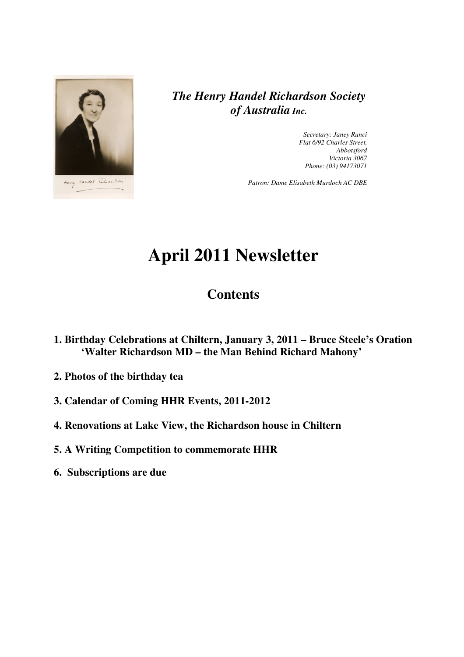

*The Henry Handel Richardson Society of Australia Inc.* 

> *Secretary: Janey Runci Flat 6/92 Charles Street, Abbotsford Victoria 3067 Phone: (03) 94173071*

*Patron: Dame Elisabeth Murdoch AC DBE* 

# **April 2011 Newsletter**

## **Contents**

- **1. Birthday Celebrations at Chiltern, January 3, 2011 Bruce Steele's Oration 'Walter Richardson MD – the Man Behind Richard Mahony'**
- **2. Photos of the birthday tea**
- **3. Calendar of Coming HHR Events, 2011-2012**
- **4. Renovations at Lake View, the Richardson house in Chiltern**
- **5. A Writing Competition to commemorate HHR**
- **6. Subscriptions are due**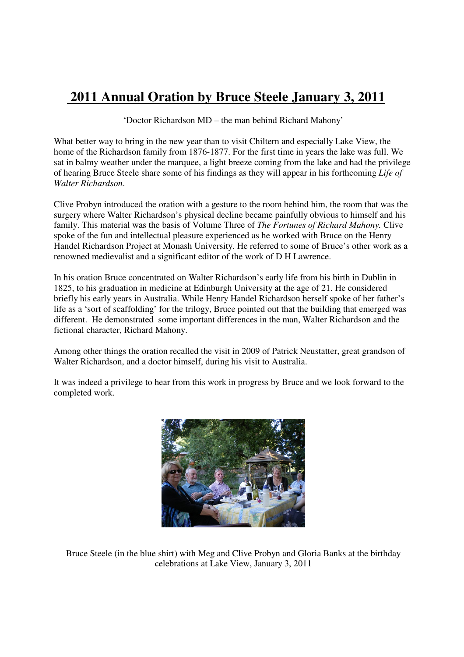## **2011 Annual Oration by Bruce Steele January 3, 2011**

'Doctor Richardson MD – the man behind Richard Mahony'

What better way to bring in the new year than to visit Chiltern and especially Lake View, the home of the Richardson family from 1876-1877. For the first time in years the lake was full. We sat in balmy weather under the marquee, a light breeze coming from the lake and had the privilege of hearing Bruce Steele share some of his findings as they will appear in his forthcoming *Life of Walter Richardson*.

Clive Probyn introduced the oration with a gesture to the room behind him, the room that was the surgery where Walter Richardson's physical decline became painfully obvious to himself and his family. This material was the basis of Volume Three of *The Fortunes of Richard Mahony.* Clive spoke of the fun and intellectual pleasure experienced as he worked with Bruce on the Henry Handel Richardson Project at Monash University. He referred to some of Bruce's other work as a renowned medievalist and a significant editor of the work of D H Lawrence.

In his oration Bruce concentrated on Walter Richardson's early life from his birth in Dublin in 1825, to his graduation in medicine at Edinburgh University at the age of 21. He considered briefly his early years in Australia. While Henry Handel Richardson herself spoke of her father's life as a 'sort of scaffolding' for the trilogy, Bruce pointed out that the building that emerged was different. He demonstrated some important differences in the man, Walter Richardson and the fictional character, Richard Mahony.

Among other things the oration recalled the visit in 2009 of Patrick Neustatter, great grandson of Walter Richardson, and a doctor himself, during his visit to Australia.

It was indeed a privilege to hear from this work in progress by Bruce and we look forward to the completed work.



Bruce Steele (in the blue shirt) with Meg and Clive Probyn and Gloria Banks at the birthday celebrations at Lake View, January 3, 2011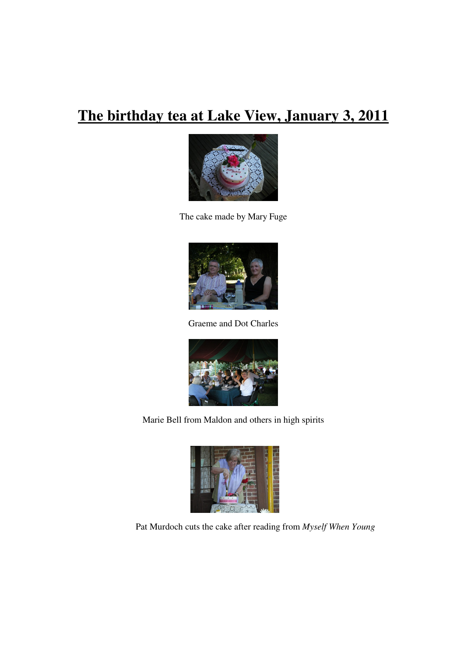# **The birthday tea at Lake View, January 3, 2011**



The cake made by Mary Fuge



Graeme and Dot Charles



Marie Bell from Maldon and others in high spirits



Pat Murdoch cuts the cake after reading from *Myself When Young*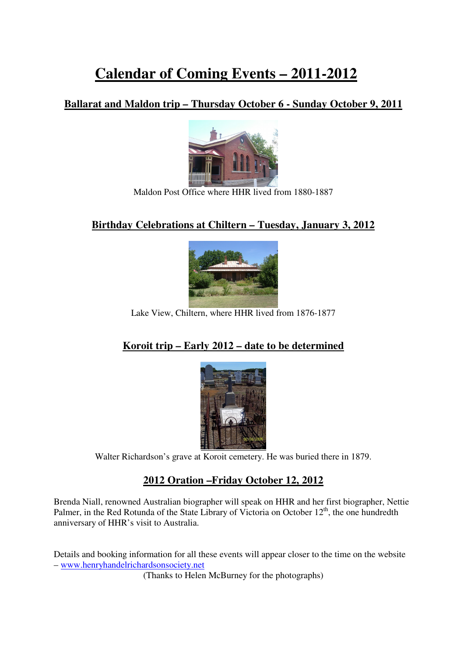# **Calendar of Coming Events – 2011-2012**

### **Ballarat and Maldon trip – Thursday October 6 - Sunday October 9, 2011**



Maldon Post Office where HHR lived from 1880-1887

### **Birthday Celebrations at Chiltern – Tuesday, January 3, 2012**



#### Lake View, Chiltern, where HHR lived from 1876-1877

### **Koroit trip – Early 2012 – date to be determined**



Walter Richardson's grave at Koroit cemetery. He was buried there in 1879.

#### **2012 Oration –Friday October 12, 2012**

Brenda Niall, renowned Australian biographer will speak on HHR and her first biographer, Nettie Palmer, in the Red Rotunda of the State Library of Victoria on October  $12<sup>th</sup>$ , the one hundredth anniversary of HHR's visit to Australia.

Details and booking information for all these events will appear closer to the time on the website – www.henryhandelrichardsonsociety.net

(Thanks to Helen McBurney for the photographs)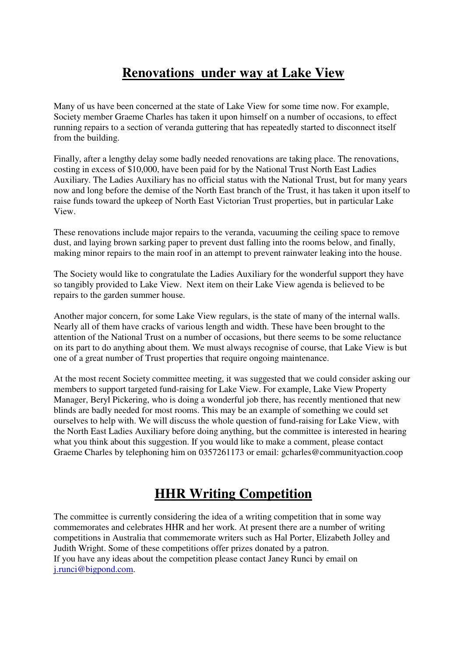## **Renovations under way at Lake View**

Many of us have been concerned at the state of Lake View for some time now. For example, Society member Graeme Charles has taken it upon himself on a number of occasions, to effect running repairs to a section of veranda guttering that has repeatedly started to disconnect itself from the building.

Finally, after a lengthy delay some badly needed renovations are taking place. The renovations, costing in excess of \$10,000, have been paid for by the National Trust North East Ladies Auxiliary. The Ladies Auxiliary has no official status with the National Trust, but for many years now and long before the demise of the North East branch of the Trust, it has taken it upon itself to raise funds toward the upkeep of North East Victorian Trust properties, but in particular Lake View.

These renovations include major repairs to the veranda, vacuuming the ceiling space to remove dust, and laying brown sarking paper to prevent dust falling into the rooms below, and finally, making minor repairs to the main roof in an attempt to prevent rainwater leaking into the house.

The Society would like to congratulate the Ladies Auxiliary for the wonderful support they have so tangibly provided to Lake View. Next item on their Lake View agenda is believed to be repairs to the garden summer house.

Another major concern, for some Lake View regulars, is the state of many of the internal walls. Nearly all of them have cracks of various length and width. These have been brought to the attention of the National Trust on a number of occasions, but there seems to be some reluctance on its part to do anything about them. We must always recognise of course, that Lake View is but one of a great number of Trust properties that require ongoing maintenance.

At the most recent Society committee meeting, it was suggested that we could consider asking our members to support targeted fund-raising for Lake View. For example, Lake View Property Manager, Beryl Pickering, who is doing a wonderful job there, has recently mentioned that new blinds are badly needed for most rooms. This may be an example of something we could set ourselves to help with. We will discuss the whole question of fund-raising for Lake View, with the North East Ladies Auxiliary before doing anything, but the committee is interested in hearing what you think about this suggestion. If you would like to make a comment, please contact Graeme Charles by telephoning him on 0357261173 or email: gcharles@communityaction.coop

## **HHR Writing Competition**

The committee is currently considering the idea of a writing competition that in some way commemorates and celebrates HHR and her work. At present there are a number of writing competitions in Australia that commemorate writers such as Hal Porter, Elizabeth Jolley and Judith Wright. Some of these competitions offer prizes donated by a patron. If you have any ideas about the competition please contact Janey Runci by email on j.runci@bigpond.com.